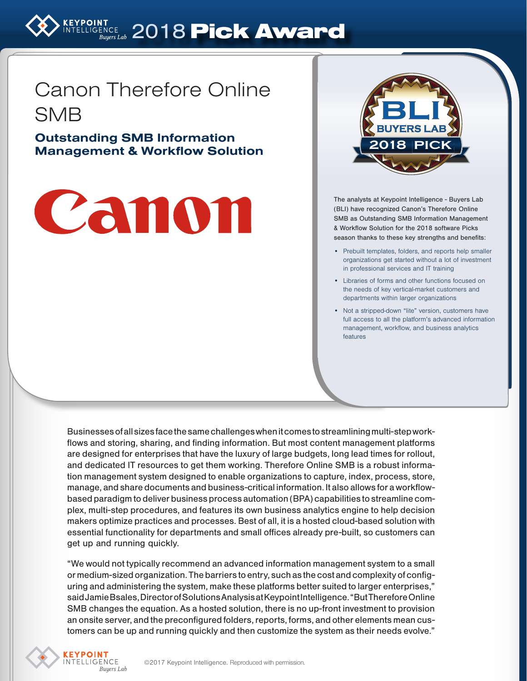# EYPOINT 2018 Pick Award

# Canon Therefore Online SMB

Outstanding SMB Information Management & Workflow Solution

# Canon



The analysts at Keypoint Intelligence - Buyers Lab (BLI) have recognized Canon's Therefore Online SMB as Outstanding SMB Information Management & Workflow Solution for the 2018 software Picks season thanks to these key strengths and benefits:

- Prebuilt templates, folders, and reports help smaller organizations get started without a lot of investment in professional services and IT training
- Libraries of forms and other functions focused on the needs of key vertical-market customers and departments within larger organizations
- Not a stripped-down "lite" version, customers have full access to all the platform's advanced information management, workflow, and business analytics features

Businesses of all sizes face the same challenges when it comes to streamlining multi-step workflows and storing, sharing, and finding information. But most content management platforms are designed for enterprises that have the luxury of large budgets, long lead times for rollout, and dedicated IT resources to get them working. Therefore Online SMB is a robust information management system designed to enable organizations to capture, index, process, store, manage, and share documents and business-critical information. It also allows for a workflowbased paradigm to deliver business process automation (BPA) capabilities to streamline complex, multi-step procedures, and features its own business analytics engine to help decision makers optimize practices and processes. Best of all, it is a hosted cloud-based solution with essential functionality for departments and small offices already pre-built, so customers can get up and running quickly.

"We would not typically recommend an advanced information management system to a small or medium-sized organization. The barriers to entry, such as the cost and complexity of configuring and administering the system, make these platforms better suited to larger enterprises," said Jamie Bsales, Director of Solutions Analysis at Keypoint Intelligence. "But Therefore Online SMB changes the equation. As a hosted solution, there is no up-front investment to provision an onsite server, and the preconfigured folders, reports, forms, and other elements mean customers can be up and running quickly and then customize the system as their needs evolve."